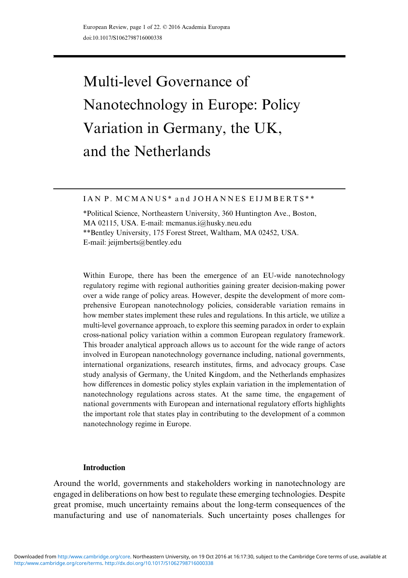# Multi-level Governance of Nanotechnology in Europe: Policy Variation in Germany, the UK, and the Netherlands

IAN P. MCMANUS\* and JOHANNES EIJMBERTS\*\*

\*Political Science, Northeastern University, 360 Huntington Ave., Boston, MA 02115, USA. E-mail: mcmanus.i@husky.neu.edu \*\*Bentley University, 175 Forest Street, Waltham, MA 02452, USA. E-mail: jeijmberts@bentley.edu

Within Europe, there has been the emergence of an EU-wide nanotechnology regulatory regime with regional authorities gaining greater decision-making power over a wide range of policy areas. However, despite the development of more comprehensive European nanotechnology policies, considerable variation remains in how member states implement these rules and regulations. In this article, we utilize a multi-level governance approach, to explore this seeming paradox in order to explain cross-national policy variation within a common European regulatory framework. This broader analytical approach allows us to account for the wide range of actors involved in European nanotechnology governance including, national governments, international organizations, research institutes, firms, and advocacy groups. Case study analysis of Germany, the United Kingdom, and the Netherlands emphasizes how differences in domestic policy styles explain variation in the implementation of nanotechnology regulations across states. At the same time, the engagement of national governments with European and international regulatory efforts highlights the important role that states play in contributing to the development of a common nanotechnology regime in Europe.

## Introduction

Around the world, governments and stakeholders working in nanotechnology are engaged in deliberations on how best to regulate these emerging technologies. Despite great promise, much uncertainty remains about the long-term consequences of the manufacturing and use of nanomaterials. Such uncertainty poses challenges for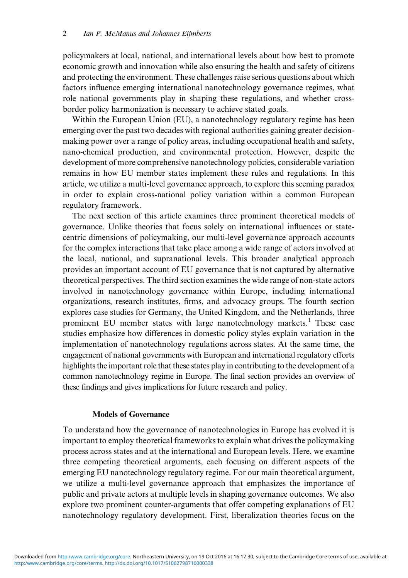policymakers at local, national, and international levels about how best to promote economic growth and innovation while also ensuring the health and safety of citizens and protecting the environment. These challenges raise serious questions about which factors influence emerging international nanotechnology governance regimes, what role national governments play in shaping these regulations, and whether crossborder policy harmonization is necessary to achieve stated goals.

Within the European Union (EU), a nanotechnology regulatory regime has been emerging over the past two decades with regional authorities gaining greater decisionmaking power over a range of policy areas, including occupational health and safety, nano-chemical production, and environmental protection. However, despite the development of more comprehensive nanotechnology policies, considerable variation remains in how EU member states implement these rules and regulations. In this article, we utilize a multi-level governance approach, to explore this seeming paradox in order to explain cross-national policy variation within a common European regulatory framework.

The next section of this article examines three prominent theoretical models of governance. Unlike theories that focus solely on international influences or statecentric dimensions of policymaking, our multi-level governance approach accounts for the complex interactions that take place among a wide range of actors involved at the local, national, and supranational levels. This broader analytical approach provides an important account of EU governance that is not captured by alternative theoretical perspectives. The third section examines the wide range of non-state actors involved in nanotechnology governance within Europe, including international organizations, research institutes, firms, and advocacy groups. The fourth section explores case studies for Germany, the United Kingdom, and the Netherlands, three prominent EU member states with large nanotechnology markets.<sup>[1](#page-16-0)</sup> These case studies emphasize how differences in domestic policy styles explain variation in the implementation of nanotechnology regulations across states. At the same time, the engagement of national governments with European and international regulatory efforts highlights the important role that these states play in contributing to the development of a common nanotechnology regime in Europe. The final section provides an overview of these findings and gives implications for future research and policy.

# Models of Governance

To understand how the governance of nanotechnologies in Europe has evolved it is important to employ theoretical frameworks to explain what drives the policymaking process across states and at the international and European levels. Here, we examine three competing theoretical arguments, each focusing on different aspects of the emerging EU nanotechnology regulatory regime. For our main theoretical argument, we utilize a multi-level governance approach that emphasizes the importance of public and private actors at multiple levels in shaping governance outcomes. We also explore two prominent counter-arguments that offer competing explanations of EU nanotechnology regulatory development. First, liberalization theories focus on the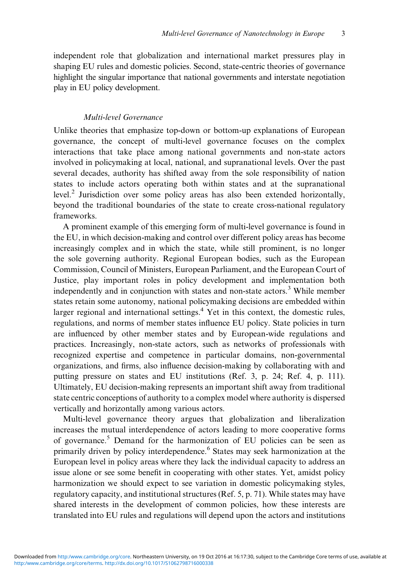independent role that globalization and international market pressures play in shaping EU rules and domestic policies. Second, state-centric theories of governance highlight the singular importance that national governments and interstate negotiation play in EU policy development.

# Multi-level Governance

Unlike theories that emphasize top-down or bottom-up explanations of European governance, the concept of multi-level governance focuses on the complex interactions that take place among national governments and non-state actors involved in policymaking at local, national, and supranational levels. Over the past several decades, authority has shifted away from the sole responsibility of nation states to include actors operating both within states and at the supranational level.<sup>[2](#page-17-0)</sup> Jurisdiction over some policy areas has also been extended horizontally, beyond the traditional boundaries of the state to create cross-national regulatory frameworks.

A prominent example of this emerging form of multi-level governance is found in the EU, in which decision-making and control over different policy areas has become increasingly complex and in which the state, while still prominent, is no longer the sole governing authority. Regional European bodies, such as the European Commission, Council of Ministers, European Parliament, and the European Court of Justice, play important roles in policy development and implementation both independently and in conjunction with states and non-state actors.<sup>[3](#page-17-0)</sup> While member states retain some autonomy, national policymaking decisions are embedded within larger regional and international settings. $4$  Yet in this context, the domestic rules, regulations, and norms of member states influence EU policy. State policies in turn are influenced by other member states and by European-wide regulations and practices. Increasingly, non-state actors, such as networks of professionals with recognized expertise and competence in particular domains, non-governmental organizations, and firms, also influence decision-making by collaborating with and putting pressure on states and EU institutions (Ref. [3](#page-17-0), p. [24](#page-18-0); Ref. [4](#page-17-0), p. 111). Ultimately, EU decision-making represents an important shift away from traditional state centric conceptions of authority to a complex model where authority is dispersed vertically and horizontally among various actors.

Multi-level governance theory argues that globalization and liberalization increases the mutual interdependence of actors leading to more cooperative forms of governance.<sup>[5](#page-17-0)</sup> Demand for the harmonization of EU policies can be seen as primarily driven by policy interdependence.<sup>[6](#page-17-0)</sup> States may seek harmonization at the European level in policy areas where they lack the individual capacity to address an issue alone or see some benefit in cooperating with other states. Yet, amidst policy harmonization we should expect to see variation in domestic policymaking styles, regulatory capacity, and institutional structures (Ref. [5](#page-17-0), p. 71). While states may have shared interests in the development of common policies, how these interests are translated into EU rules and regulations will depend upon the actors and institutions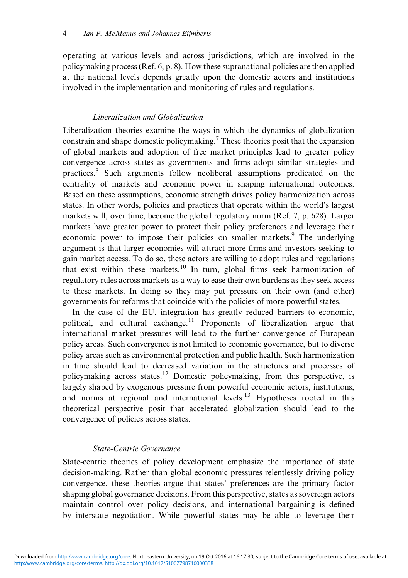operating at various levels and across jurisdictions, which are involved in the policymaking process (Ref. [6,](#page-17-0) p. [8](#page-17-0)). How these supranational policies are then applied at the national levels depends greatly upon the domestic actors and institutions involved in the implementation and monitoring of rules and regulations.

# Liberalization and Globalization

Liberalization theories examine the ways in which the dynamics of globalization constrain and shape domestic policymaking.<sup>7</sup> These theories posit that the expansion of global markets and adoption of free market principles lead to greater policy convergence across states as governments and firms adopt similar strategies and practices.[8](#page-17-0) Such arguments follow neoliberal assumptions predicated on the centrality of markets and economic power in shaping international outcomes. Based on these assumptions, economic strength drives policy harmonization across states. In other words, policies and practices that operate within the world's largest markets will, over time, become the global regulatory norm (Ref. [7,](#page-17-0) p. 628). Larger markets have greater power to protect their policy preferences and leverage their economic power to impose their policies on smaller markets.<sup>[9](#page-17-0)</sup> The underlying argument is that larger economies will attract more firms and investors seeking to gain market access. To do so, these actors are willing to adopt rules and regulations that exist within these markets.<sup>[10](#page-17-0)</sup> In turn, global firms seek harmonization of regulatory rules across markets as a way to ease their own burdens as they seek access to these markets. In doing so they may put pressure on their own (and other) governments for reforms that coincide with the policies of more powerful states.

In the case of the EU, integration has greatly reduced barriers to economic, political, and cultural exchange.<sup>[11](#page-17-0)</sup> Proponents of liberalization argue that international market pressures will lead to the further convergence of European policy areas. Such convergence is not limited to economic governance, but to diverse policy areas such as environmental protection and public health. Such harmonization in time should lead to decreased variation in the structures and processes of policymaking across states.[12](#page-17-0) Domestic policymaking, from this perspective, is largely shaped by exogenous pressure from powerful economic actors, institutions, and norms at regional and international levels.<sup>[13](#page-17-0)</sup> Hypotheses rooted in this theoretical perspective posit that accelerated globalization should lead to the convergence of policies across states.

# State-Centric Governance

State-centric theories of policy development emphasize the importance of state decision-making. Rather than global economic pressures relentlessly driving policy convergence, these theories argue that states' preferences are the primary factor shaping global governance decisions. From this perspective, states as sovereign actors maintain control over policy decisions, and international bargaining is defined by interstate negotiation. While powerful states may be able to leverage their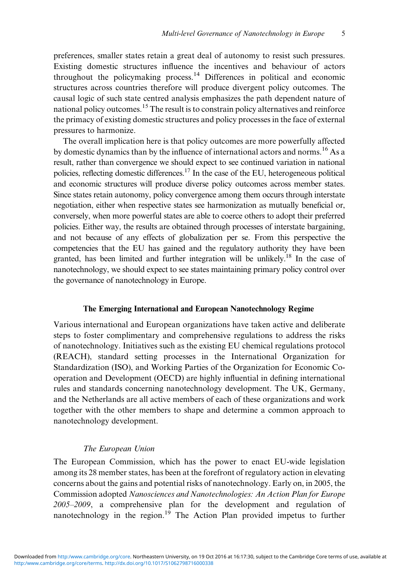preferences, smaller states retain a great deal of autonomy to resist such pressures. Existing domestic structures influence the incentives and behaviour of actors throughout the policymaking process.<sup>[14](#page-17-0)</sup> Differences in political and economic structures across countries therefore will produce divergent policy outcomes. The causal logic of such state centred analysis emphasizes the path dependent nature of national policy outcomes.<sup>[15](#page-17-0)</sup> The result is to constrain policy alternatives and reinforce the primacy of existing domestic structures and policy processes in the face of external pressures to harmonize.

The overall implication here is that policy outcomes are more powerfully affected by domestic dynamics than by the influence of international actors and norms.[16](#page-17-0) As a result, rather than convergence we should expect to see continued variation in national policies, reflecting domestic differences[.17](#page-17-0) In the case of the EU, heterogeneous political and economic structures will produce diverse policy outcomes across member states. Since states retain autonomy, policy convergence among them occurs through interstate negotiation, either when respective states see harmonization as mutually beneficial or, conversely, when more powerful states are able to coerce others to adopt their preferred policies. Either way, the results are obtained through processes of interstate bargaining, and not because of any effects of globalization per se. From this perspective the competencies that the EU has gained and the regulatory authority they have been granted, has been limited and further integration will be unlikely[.18](#page-17-0) In the case of nanotechnology, we should expect to see states maintaining primary policy control over the governance of nanotechnology in Europe.

#### The Emerging International and European Nanotechnology Regime

Various international and European organizations have taken active and deliberate steps to foster complimentary and comprehensive regulations to address the risks of nanotechnology. Initiatives such as the existing EU chemical regulations protocol (REACH), standard setting processes in the International Organization for Standardization (ISO), and Working Parties of the Organization for Economic Cooperation and Development (OECD) are highly influential in defining international rules and standards concerning nanotechnology development. The UK, Germany, and the Netherlands are all active members of each of these organizations and work together with the other members to shape and determine a common approach to nanotechnology development.

#### The European Union

The European Commission, which has the power to enact EU-wide legislation among its 28 member states, has been at the forefront of regulatory action in elevating concerns about the gains and potential risks of nanotechnology. Early on, in 2005, the Commission adopted Nanosciences and Nanotechnologies: An Action Plan for Europe 2005–2009, a comprehensive plan for the development and regulation of nanotechnology in the region.<sup>[19](#page-17-0)</sup> The Action Plan provided impetus to further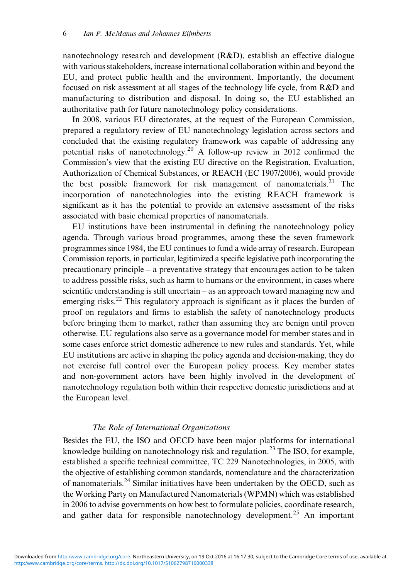nanotechnology research and development (R&D), establish an effective dialogue with various stakeholders, increase international collaboration within and beyond the EU, and protect public health and the environment. Importantly, the document focused on risk assessment at all stages of the technology life cycle, from R&D and manufacturing to distribution and disposal. In doing so, the EU established an authoritative path for future nanotechnology policy considerations.

In 2008, various EU directorates, at the request of the European Commission, prepared a regulatory review of EU nanotechnology legislation across sectors and concluded that the existing regulatory framework was capable of addressing any potential risks of nanotechnology.<sup>[20](#page-18-0)</sup> A follow-up review in 2012 confirmed the Commission's view that the existing EU directive on the Registration, Evaluation, Authorization of Chemical Substances, or REACH (EC 1907/2006), would provide the best possible framework for risk management of nanomaterials.<sup>[21](#page-18-0)</sup> The incorporation of nanotechnologies into the existing REACH framework is significant as it has the potential to provide an extensive assessment of the risks associated with basic chemical properties of nanomaterials.

EU institutions have been instrumental in defining the nanotechnology policy agenda. Through various broad programmes, among these the seven framework programmes since 1984, the EU continues to fund a wide array of research. European Commission reports, in particular, legitimized a specific legislative path incorporating the precautionary principle – a preventative strategy that encourages action to be taken to address possible risks, such as harm to humans or the environment, in cases where scientific understanding is still uncertain – as an approach toward managing new and emerging risks.<sup>22</sup> This regulatory approach is significant as it places the burden of proof on regulators and firms to establish the safety of nanotechnology products before bringing them to market, rather than assuming they are benign until proven otherwise. EU regulations also serve as a governance model for member states and in some cases enforce strict domestic adherence to new rules and standards. Yet, while EU institutions are active in shaping the policy agenda and decision-making, they do not exercise full control over the European policy process. Key member states and non-government actors have been highly involved in the development of nanotechnology regulation both within their respective domestic jurisdictions and at the European level.

#### The Role of International Organizations

Besides the EU, the ISO and OECD have been major platforms for international knowledge building on nanotechnology risk and regulation.<sup>[23](#page-18-0)</sup> The ISO, for example, established a specific technical committee, TC 229 Nanotechnologies, in 2005, with the objective of establishing common standards, nomenclature and the characterization of nanomaterials.<sup>[24](#page-18-0)</sup> Similar initiatives have been undertaken by the OECD, such as the Working Party on Manufactured Nanomaterials (WPMN) which was established in 2006 to advise governments on how best to formulate policies, coordinate research, and gather data for responsible nanotechnology development.<sup>[25](#page-18-0)</sup> An important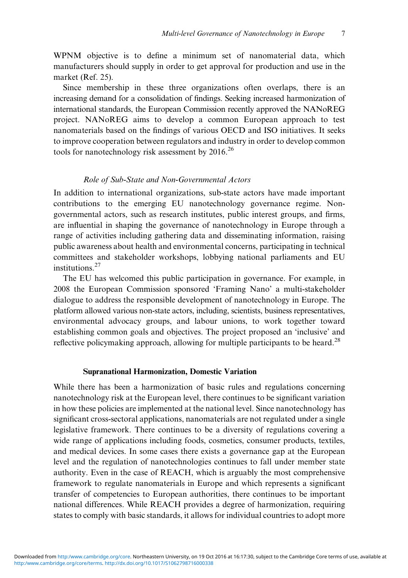WPNM objective is to define a minimum set of nanomaterial data, which manufacturers should supply in order to get approval for production and use in the market (Ref. [25](#page-18-0)).

Since membership in these three organizations often overlaps, there is an increasing demand for a consolidation of findings. Seeking increased harmonization of international standards, the European Commission recently approved the NANoREG project. NANoREG aims to develop a common European approach to test nanomaterials based on the findings of various OECD and ISO initiatives. It seeks to improve cooperation between regulators and industry in order to develop common tools for nanotechnology risk assessment by 2016.<sup>[26](#page-18-0)</sup>

# Role of Sub-State and Non-Governmental Actors

In addition to international organizations, sub-state actors have made important contributions to the emerging EU nanotechnology governance regime. Nongovernmental actors, such as research institutes, public interest groups, and firms, are influential in shaping the governance of nanotechnology in Europe through a range of activities including gathering data and disseminating information, raising public awareness about health and environmental concerns, participating in technical committees and stakeholder workshops, lobbying national parliaments and EU institutions.<sup>[27](#page-18-0)</sup>

The EU has welcomed this public participation in governance. For example, in 2008 the European Commission sponsored 'Framing Nano' a multi-stakeholder dialogue to address the responsible development of nanotechnology in Europe. The platform allowed various non-state actors, including, scientists, business representatives, environmental advocacy groups, and labour unions, to work together toward establishing common goals and objectives. The project proposed an 'inclusive' and reflective policymaking approach, allowing for multiple participants to be heard.<sup>[28](#page-18-0)</sup>

#### Supranational Harmonization, Domestic Variation

While there has been a harmonization of basic rules and regulations concerning nanotechnology risk at the European level, there continues to be significant variation in how these policies are implemented at the national level. Since nanotechnology has significant cross-sectoral applications, nanomaterials are not regulated under a single legislative framework. There continues to be a diversity of regulations covering a wide range of applications including foods, cosmetics, consumer products, textiles, and medical devices. In some cases there exists a governance gap at the European level and the regulation of nanotechnologies continues to fall under member state authority. Even in the case of REACH, which is arguably the most comprehensive framework to regulate nanomaterials in Europe and which represents a significant transfer of competencies to European authorities, there continues to be important national differences. While REACH provides a degree of harmonization, requiring states to comply with basic standards, it allows for individual countries to adopt more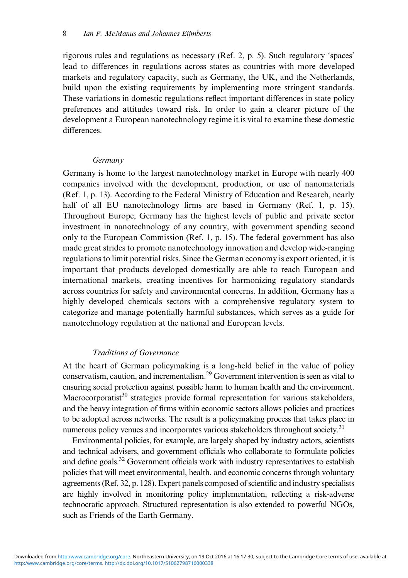rigorous rules and regulations as necessary (Ref. [2,](#page-17-0) p. [5\)](#page-17-0). Such regulatory 'spaces' lead to differences in regulations across states as countries with more developed markets and regulatory capacity, such as Germany, the UK, and the Netherlands, build upon the existing requirements by implementing more stringent standards. These variations in domestic regulations reflect important differences in state policy preferences and attitudes toward risk. In order to gain a clearer picture of the development a European nanotechnology regime it is vital to examine these domestic differences.

## Germany

Germany is home to the largest nanotechnology market in Europe with nearly 400 companies involved with the development, production, or use of nanomaterials (Ref. [1](#page-16-0), p. [13\)](#page-17-0). According to the Federal Ministry of Education and Research, nearly half of all EU nanotechnology firms are based in Germany (Ref. [1](#page-16-0), p. [15\)](#page-17-0). Throughout Europe, Germany has the highest levels of public and private sector investment in nanotechnology of any country, with government spending second only to the European Commission (Ref. [1](#page-16-0), p. [15](#page-17-0)). The federal government has also made great strides to promote nanotechnology innovation and develop wide-ranging regulations to limit potential risks. Since the German economy is export oriented, it is important that products developed domestically are able to reach European and international markets, creating incentives for harmonizing regulatory standards across countries for safety and environmental concerns. In addition, Germany has a highly developed chemicals sectors with a comprehensive regulatory system to categorize and manage potentially harmful substances, which serves as a guide for nanotechnology regulation at the national and European levels.

#### Traditions of Governance

At the heart of German policymaking is a long-held belief in the value of policy conservatism, caution, and incrementalism[.29](#page-18-0) Government intervention is seen as vital to ensuring social protection against possible harm to human health and the environment. Macrocorporatist<sup>30</sup> strategies provide formal representation for various stakeholders, and the heavy integration of firms within economic sectors allows policies and practices to be adopted across networks. The result is a policymaking process that takes place in numerous policy venues and incorporates various stakeholders throughout society.<sup>[31](#page-18-0)</sup>

Environmental policies, for example, are largely shaped by industry actors, scientists and technical advisers, and government officials who collaborate to formulate policies and define goals.<sup>[32](#page-18-0)</sup> Government officials work with industry representatives to establish policies that will meet environmental, health, and economic concerns through voluntary agreements (Ref. [32](#page-18-0), p. 128). Expert panels composed of scientific and industry specialists are highly involved in monitoring policy implementation, reflecting a risk-adverse technocratic approach. Structured representation is also extended to powerful NGOs, such as Friends of the Earth Germany.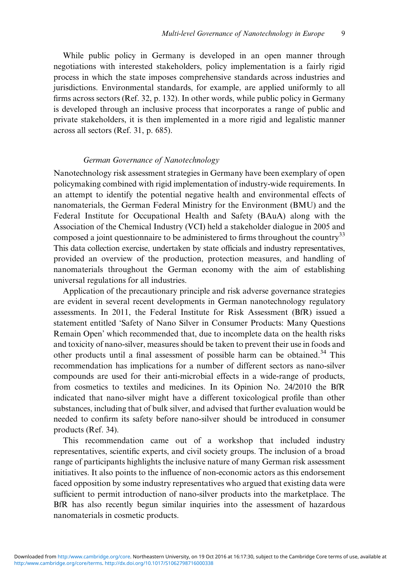While public policy in Germany is developed in an open manner through negotiations with interested stakeholders, policy implementation is a fairly rigid process in which the state imposes comprehensive standards across industries and jurisdictions. Environmental standards, for example, are applied uniformly to all firms across sectors (Ref. [32,](#page-18-0) p. 132). In other words, while public policy in Germany is developed through an inclusive process that incorporates a range of public and private stakeholders, it is then implemented in a more rigid and legalistic manner across all sectors (Ref. [31,](#page-18-0) p. 685).

# German Governance of Nanotechnology

Nanotechnology risk assessment strategies in Germany have been exemplary of open policymaking combined with rigid implementation of industry-wide requirements. In an attempt to identify the potential negative health and environmental effects of nanomaterials, the German Federal Ministry for the Environment (BMU) and the Federal Institute for Occupational Health and Safety (BAuA) along with the Association of the Chemical Industry (VCI) held a stakeholder dialogue in 2005 and composed a joint questionnaire to be administered to firms throughout the country<sup>[33](#page-18-0)</sup> This data collection exercise, undertaken by state officials and industry representatives, provided an overview of the production, protection measures, and handling of nanomaterials throughout the German economy with the aim of establishing universal regulations for all industries.

Application of the precautionary principle and risk adverse governance strategies are evident in several recent developments in German nanotechnology regulatory assessments. In 2011, the Federal Institute for Risk Assessment (BfR) issued a statement entitled 'Safety of Nano Silver in Consumer Products: Many Questions Remain Open' which recommended that, due to incomplete data on the health risks and toxicity of nano-silver, measures should be taken to prevent their use in foods and other products until a final assessment of possible harm can be obtained.<sup>[34](#page-18-0)</sup> This recommendation has implications for a number of different sectors as nano-silver compounds are used for their anti-microbial effects in a wide-range of products, from cosmetics to textiles and medicines. In its Opinion No. 24/2010 the BfR indicated that nano-silver might have a different toxicological profile than other substances, including that of bulk silver, and advised that further evaluation would be needed to confirm its safety before nano-silver should be introduced in consumer products (Ref. [34\)](#page-18-0).

This recommendation came out of a workshop that included industry representatives, scientific experts, and civil society groups. The inclusion of a broad range of participants highlights the inclusive nature of many German risk assessment initiatives. It also points to the influence of non-economic actors as this endorsement faced opposition by some industry representatives who argued that existing data were sufficient to permit introduction of nano-silver products into the marketplace. The BfR has also recently begun similar inquiries into the assessment of hazardous nanomaterials in cosmetic products.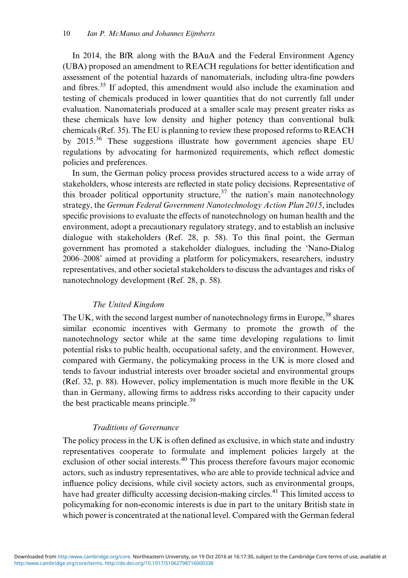In 2014, the BfR along with the BAuA and the Federal Environment Agency (UBA) proposed an amendment to REACH regulations for better identification and assessment of the potential hazards of nanomaterials, including ultra-fine powders and fibres.[35](#page-18-0) If adopted, this amendment would also include the examination and testing of chemicals produced in lower quantities that do not currently fall under evaluation. Nanomaterials produced at a smaller scale may present greater risks as these chemicals have low density and higher potency than conventional bulk chemicals (Ref. [35\)](#page-18-0). The EU is planning to review these proposed reforms to REACH by  $2015^{36}$  $2015^{36}$  $2015^{36}$  These suggestions illustrate how government agencies shape EU regulations by advocating for harmonized requirements, which reflect domestic policies and preferences.

In sum, the German policy process provides structured access to a wide array of stakeholders, whose interests are reflected in state policy decisions. Representative of this broader political opportunity structure,  $37$  the nation's main nanotechnology strategy, the German Federal Government Nanotechnology Action Plan 2015, includes specific provisions to evaluate the effects of nanotechnology on human health and the environment, adopt a precautionary regulatory strategy, and to establish an inclusive dialogue with stakeholders (Ref. [28](#page-18-0), p. [58\)](#page-20-0). To this final point, the German government has promoted a stakeholder dialogues, including the 'Nano-Dialog 2006–2008' aimed at providing a platform for policymakers, researchers, industry representatives, and other societal stakeholders to discuss the advantages and risks of nanotechnology development (Ref. [28](#page-18-0), p. [58\)](#page-20-0).

## The United Kingdom

The UK, with the second largest number of nanotechnology firms in Europe,<sup>[38](#page-19-0)</sup> shares similar economic incentives with Germany to promote the growth of the nanotechnology sector while at the same time developing regulations to limit potential risks to public health, occupational safety, and the environment. However, compared with Germany, the policymaking process in the UK is more closed and tends to favour industrial interests over broader societal and environmental groups (Ref. [32](#page-18-0), p. 88). However, policy implementation is much more flexible in the UK than in Germany, allowing firms to address risks according to their capacity under the best practicable means principle.<sup>[39](#page-19-0)</sup>

## Traditions of Governance

The policy process in the UK is often defined as exclusive, in which state and industry representatives cooperate to formulate and implement policies largely at the exclusion of other social interests.<sup>[40](#page-19-0)</sup> This process therefore favours major economic actors, such as industry representatives, who are able to provide technical advice and influence policy decisions, while civil society actors, such as environmental groups, have had greater difficulty accessing decision-making circles.<sup>41</sup> This limited access to policymaking for non-economic interests is due in part to the unitary British state in which power is concentrated at the national level. Compared with the German federal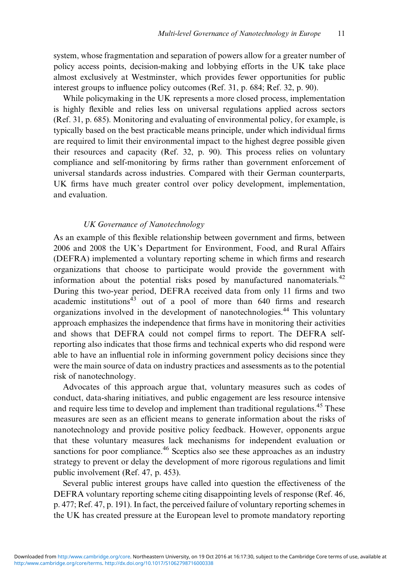system, whose fragmentation and separation of powers allow for a greater number of policy access points, decision-making and lobbying efforts in the UK take place almost exclusively at Westminster, which provides fewer opportunities for public interest groups to influence policy outcomes (Ref. [31,](#page-18-0) p. 684; Ref. [32](#page-18-0), p. 90).

While policymaking in the UK represents a more closed process, implementation is highly flexible and relies less on universal regulations applied across sectors (Ref. [31](#page-18-0), p. 685). Monitoring and evaluating of environmental policy, for example, is typically based on the best practicable means principle, under which individual firms are required to limit their environmental impact to the highest degree possible given their resources and capacity (Ref. [32](#page-18-0), p. 90). This process relies on voluntary compliance and self-monitoring by firms rather than government enforcement of universal standards across industries. Compared with their German counterparts, UK firms have much greater control over policy development, implementation, and evaluation.

## UK Governance of Nanotechnology

As an example of this flexible relationship between government and firms, between 2006 and 2008 the UK's Department for Environment, Food, and Rural Affairs (DEFRA) implemented a voluntary reporting scheme in which firms and research organizations that choose to participate would provide the government with information about the potential risks posed by manufactured nanomaterials.<sup>[42](#page-19-0)</sup> During this two-year period, DEFRA received data from only 11 firms and two academic institutions $43$  out of a pool of more than 640 firms and research organizations involved in the development of nanotechnologies[.44](#page-19-0) This voluntary approach emphasizes the independence that firms have in monitoring their activities and shows that DEFRA could not compel firms to report. The DEFRA selfreporting also indicates that those firms and technical experts who did respond were able to have an influential role in informing government policy decisions since they were the main source of data on industry practices and assessments as to the potential risk of nanotechnology.

Advocates of this approach argue that, voluntary measures such as codes of conduct, data-sharing initiatives, and public engagement are less resource intensive and require less time to develop and implement than traditional regulations.<sup>[45](#page-19-0)</sup> These measures are seen as an efficient means to generate information about the risks of nanotechnology and provide positive policy feedback. However, opponents argue that these voluntary measures lack mechanisms for independent evaluation or sanctions for poor compliance.<sup>[46](#page-19-0)</sup> Sceptics also see these approaches as an industry strategy to prevent or delay the development of more rigorous regulations and limit public involvement (Ref. [47,](#page-19-0) p. 453).

Several public interest groups have called into question the effectiveness of the DEFRA voluntary reporting scheme citing disappointing levels of response (Ref. [46,](#page-19-0) p. 477; Ref. [47](#page-19-0), p. 191). In fact, the perceived failure of voluntary reporting schemes in the UK has created pressure at the European level to promote mandatory reporting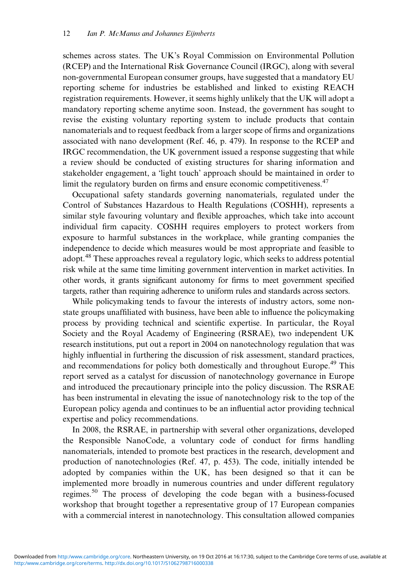schemes across states. The UK's Royal Commission on Environmental Pollution (RCEP) and the International Risk Governance Council (IRGC), along with several non-governmental European consumer groups, have suggested that a mandatory EU reporting scheme for industries be established and linked to existing REACH registration requirements. However, it seems highly unlikely that the UK will adopt a mandatory reporting scheme anytime soon. Instead, the government has sought to revise the existing voluntary reporting system to include products that contain nanomaterials and to request feedback from a larger scope of firms and organizations associated with nano development (Ref. [46](#page-19-0), p. 479). In response to the RCEP and IRGC recommendation, the UK government issued a response suggesting that while a review should be conducted of existing structures for sharing information and stakeholder engagement, a 'light touch' approach should be maintained in order to limit the regulatory burden on firms and ensure economic competitiveness.<sup>[47](#page-19-0)</sup>

Occupational safety standards governing nanomaterials, regulated under the Control of Substances Hazardous to Health Regulations (COSHH), represents a similar style favouring voluntary and flexible approaches, which take into account individual firm capacity. COSHH requires employers to protect workers from exposure to harmful substances in the workplace, while granting companies the independence to decide which measures would be most appropriate and feasible to adopt.<sup>[48](#page-19-0)</sup> These approaches reveal a regulatory logic, which seeks to address potential risk while at the same time limiting government intervention in market activities. In other words, it grants significant autonomy for firms to meet government specified targets, rather than requiring adherence to uniform rules and standards across sectors.

While policymaking tends to favour the interests of industry actors, some nonstate groups unaffiliated with business, have been able to influence the policymaking process by providing technical and scientific expertise. In particular, the Royal Society and the Royal Academy of Engineering (RSRAE), two independent UK research institutions, put out a report in 2004 on nanotechnology regulation that was highly influential in furthering the discussion of risk assessment, standard practices, and recommendations for policy both domestically and throughout Europe.<sup>[49](#page-19-0)</sup> This report served as a catalyst for discussion of nanotechnology governance in Europe and introduced the precautionary principle into the policy discussion. The RSRAE has been instrumental in elevating the issue of nanotechnology risk to the top of the European policy agenda and continues to be an influential actor providing technical expertise and policy recommendations.

In 2008, the RSRAE, in partnership with several other organizations, developed the Responsible NanoCode, a voluntary code of conduct for firms handling nanomaterials, intended to promote best practices in the research, development and production of nanotechnologies (Ref. [47,](#page-19-0) p. 453). The code, initially intended be adopted by companies within the UK, has been designed so that it can be implemented more broadly in numerous countries and under different regulatory regimes.[50](#page-20-0) The process of developing the code began with a business-focused workshop that brought together a representative group of 17 European companies with a commercial interest in nanotechnology. This consultation allowed companies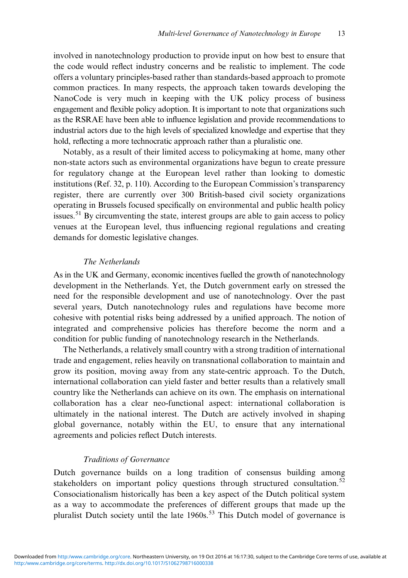involved in nanotechnology production to provide input on how best to ensure that the code would reflect industry concerns and be realistic to implement. The code offers a voluntary principles-based rather than standards-based approach to promote common practices. In many respects, the approach taken towards developing the NanoCode is very much in keeping with the UK policy process of business engagement and flexible policy adoption. It is important to note that organizations such as the RSRAE have been able to influence legislation and provide recommendations to industrial actors due to the high levels of specialized knowledge and expertise that they hold, reflecting a more technocratic approach rather than a pluralistic one.

Notably, as a result of their limited access to policymaking at home, many other non-state actors such as environmental organizations have begun to create pressure for regulatory change at the European level rather than looking to domestic institutions (Ref. [32](#page-18-0), p. 110). According to the European Commission's transparency register, there are currently over 300 British-based civil society organizations operating in Brussels focused specifically on environmental and public health policy issues.<sup>[51](#page-20-0)</sup> By circumventing the state, interest groups are able to gain access to policy venues at the European level, thus influencing regional regulations and creating demands for domestic legislative changes.

## The Netherlands

As in the UK and Germany, economic incentives fuelled the growth of nanotechnology development in the Netherlands. Yet, the Dutch government early on stressed the need for the responsible development and use of nanotechnology. Over the past several years, Dutch nanotechnology rules and regulations have become more cohesive with potential risks being addressed by a unified approach. The notion of integrated and comprehensive policies has therefore become the norm and a condition for public funding of nanotechnology research in the Netherlands.

The Netherlands, a relatively small country with a strong tradition of international trade and engagement, relies heavily on transnational collaboration to maintain and grow its position, moving away from any state-centric approach. To the Dutch, international collaboration can yield faster and better results than a relatively small country like the Netherlands can achieve on its own. The emphasis on international collaboration has a clear neo-functional aspect: international collaboration is ultimately in the national interest. The Dutch are actively involved in shaping global governance, notably within the EU, to ensure that any international agreements and policies reflect Dutch interests.

#### Traditions of Governance

Dutch governance builds on a long tradition of consensus building among stakeholders on important policy questions through structured consultation.<sup>[52](#page-20-0)</sup> Consociationalism historically has been a key aspect of the Dutch political system as a way to accommodate the preferences of different groups that made up the pluralist Dutch society until the late 1960s.<sup>[53](#page-20-0)</sup> This Dutch model of governance is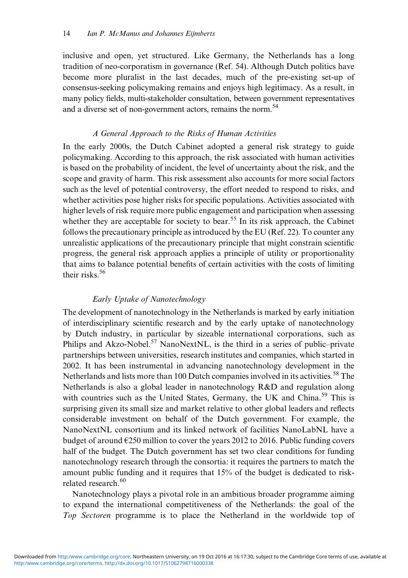inclusive and open, yet structured. Like Germany, the Netherlands has a long tradition of neo-corporatism in governance (Ref. [54\)](#page-20-0). Although Dutch politics have become more pluralist in the last decades, much of the pre-existing set-up of consensus-seeking policymaking remains and enjoys high legitimacy. As a result, in many policy fields, multi-stakeholder consultation, between government representatives and a diverse set of non-government actors, remains the norm.<sup>54</sup>

# A General Approach to the Risks of Human Activities

In the early 2000s, the Dutch Cabinet adopted a general risk strategy to guide policymaking. According to this approach, the risk associated with human activities is based on the probability of incident, the level of uncertainty about the risk, and the scope and gravity of harm. This risk assessment also accounts for more social factors such as the level of potential controversy, the effort needed to respond to risks, and whether activities pose higher risks for specific populations. Activities associated with higher levels of risk require more public engagement and participation when assessing whether they are acceptable for society to bear.<sup>[55](#page-20-0)</sup> In its risk approach, the Cabinet follows the precautionary principle as introduced by the EU (Ref. [22\)](#page-18-0). To counter any unrealistic applications of the precautionary principle that might constrain scientific progress, the general risk approach applies a principle of utility or proportionality that aims to balance potential benefits of certain activities with the costs of limiting their risks.<sup>[56](#page-20-0)</sup>

# Early Uptake of Nanotechnology

The development of nanotechnology in the Netherlands is marked by early initiation of interdisciplinary scientific research and by the early uptake of nanotechnology by Dutch industry, in particular by sizeable international corporations, such as Philips and Akzo-Nobel.<sup>[57](#page-20-0)</sup> NanoNextNL, is the third in a series of public–private partnerships between universities, research institutes and companies, which started in 2002. It has been instrumental in advancing nanotechnology development in the Netherlands and lists more than 100 Dutch companies involved in its activities.<sup>[58](#page-20-0)</sup> The Netherlands is also a global leader in nanotechnology R&D and regulation along with countries such as the United States, Germany, the UK and China.<sup>[59](#page-20-0)</sup> This is surprising given its small size and market relative to other global leaders and reflects considerable investment on behalf of the Dutch government. For example, the NanoNextNL consortium and its linked network of facilities NanoLabNL have a budget of around €250 million to cover the years 2012 to 2016. Public funding covers half of the budget. The Dutch government has set two clear conditions for funding nanotechnology research through the consortia: it requires the partners to match the amount public funding and it requires that 15% of the budget is dedicated to risk-related research.<sup>[60](#page-20-0)</sup>

Nanotechnology plays a pivotal role in an ambitious broader programme aiming to expand the international competitiveness of the Netherlands: the goal of the Top Sectoren programme is to place the Netherland in the worldwide top of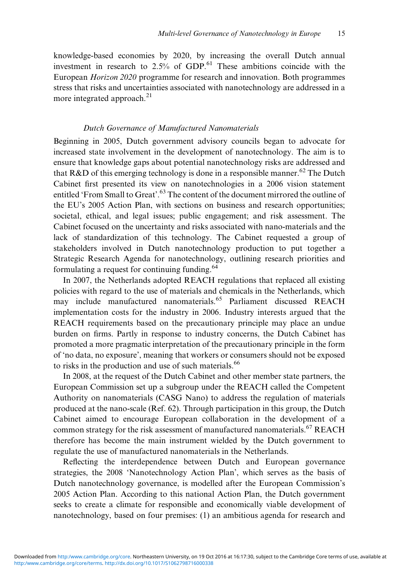knowledge-based economies by 2020, by increasing the overall Dutch annual investment in research to  $2.5\%$  of GDP.<sup>[61](#page-20-0)</sup> These ambitions coincide with the European Horizon 2020 programme for research and innovation. Both programmes stress that risks and uncertainties associated with nanotechnology are addressed in a more integrated approach.<sup>[21](#page-18-0)</sup>

# Dutch Governance of Manufactured Nanomaterials

Beginning in 2005, Dutch government advisory councils began to advocate for increased state involvement in the development of nanotechnology. The aim is to ensure that knowledge gaps about potential nanotechnology risks are addressed and that R&D of this emerging technology is done in a responsible manner.<sup>[62](#page-20-0)</sup> The Dutch Cabinet first presented its view on nanotechnologies in a 2006 vision statement entitled 'From Small to Great'.<sup>[63](#page-20-0)</sup> The content of the document mirrored the outline of the EU's 2005 Action Plan, with sections on business and research opportunities; societal, ethical, and legal issues; public engagement; and risk assessment. The Cabinet focused on the uncertainty and risks associated with nano-materials and the lack of standardization of this technology. The Cabinet requested a group of stakeholders involved in Dutch nanotechnology production to put together a Strategic Research Agenda for nanotechnology, outlining research priorities and formulating a request for continuing funding.<sup>64</sup>

In 2007, the Netherlands adopted REACH regulations that replaced all existing policies with regard to the use of materials and chemicals in the Netherlands, which may include manufactured nanomaterials.<sup>[65](#page-20-0)</sup> Parliament discussed REACH implementation costs for the industry in 2006. Industry interests argued that the REACH requirements based on the precautionary principle may place an undue burden on firms. Partly in response to industry concerns, the Dutch Cabinet has promoted a more pragmatic interpretation of the precautionary principle in the form of 'no data, no exposure', meaning that workers or consumers should not be exposed to risks in the production and use of such materials.<sup>[66](#page-20-0)</sup>

In 2008, at the request of the Dutch Cabinet and other member state partners, the European Commission set up a subgroup under the REACH called the Competent Authority on nanomaterials (CASG Nano) to address the regulation of materials produced at the nano-scale (Ref. [62](#page-20-0)). Through participation in this group, the Dutch Cabinet aimed to encourage European collaboration in the development of a common strategy for the risk assessment of manufactured nanomaterials.<sup>[67](#page-20-0)</sup> REACH therefore has become the main instrument wielded by the Dutch government to regulate the use of manufactured nanomaterials in the Netherlands.

Reflecting the interdependence between Dutch and European governance strategies, the 2008 'Nanotechnology Action Plan', which serves as the basis of Dutch nanotechnology governance, is modelled after the European Commission's 2005 Action Plan. According to this national Action Plan, the Dutch government seeks to create a climate for responsible and economically viable development of nanotechnology, based on four premises: (1) an ambitious agenda for research and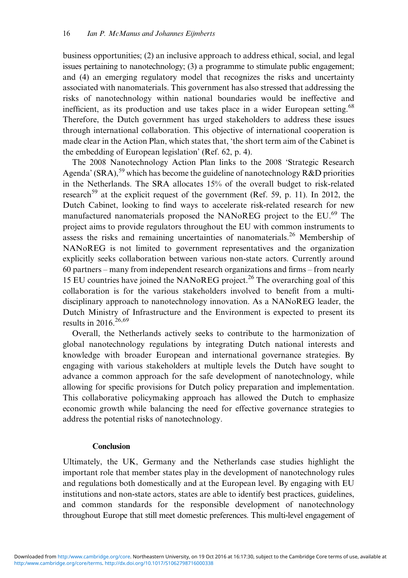business opportunities; (2) an inclusive approach to address ethical, social, and legal issues pertaining to nanotechnology; (3) a programme to stimulate public engagement; and (4) an emerging regulatory model that recognizes the risks and uncertainty associated with nanomaterials. This government has also stressed that addressing the risks of nanotechnology within national boundaries would be ineffective and inefficient, as its production and use takes place in a wider European setting.<sup>[68](#page-20-0)</sup> Therefore, the Dutch government has urged stakeholders to address these issues through international collaboration. This objective of international cooperation is made clear in the Action Plan, which states that, 'the short term aim of the Cabinet is the embedding of European legislation' (Ref. [62](#page-20-0), p. [4](#page-17-0)).

The 2008 Nanotechnology Action Plan links to the 2008 'Strategic Research Agenda' (SRA), <sup>[59](#page-20-0)</sup> which has become the guideline of nanotechnology R&D priorities in the Netherlands. The SRA allocates 15% of the overall budget to risk-related research<sup>[59](#page-20-0)</sup> at the explicit request of the government (Ref. [59,](#page-20-0) p. [11](#page-17-0)). In 2012, the Dutch Cabinet, looking to find ways to accelerate risk-related research for new manufactured nanomaterials proposed the NANoREG project to the EU.<sup>69</sup> The project aims to provide regulators throughout the EU with common instruments to assess the risks and remaining uncertainties of nanomaterials.<sup>[26](#page-18-0)</sup> Membership of NANoREG is not limited to government representatives and the organization explicitly seeks collaboration between various non-state actors. Currently around 60 partners – many from independent research organizations and firms – from nearly 15 EU countries have joined the NANoREG project.[26](#page-18-0) The overarching goal of this collaboration is for the various stakeholders involved to benefit from a multidisciplinary approach to nanotechnology innovation. As a NANoREG leader, the Dutch Ministry of Infrastructure and the Environment is expected to present its results in 2016<sup>[26](#page-18-0)[,69](#page-20-0)</sup>

Overall, the Netherlands actively seeks to contribute to the harmonization of global nanotechnology regulations by integrating Dutch national interests and knowledge with broader European and international governance strategies. By engaging with various stakeholders at multiple levels the Dutch have sought to advance a common approach for the safe development of nanotechnology, while allowing for specific provisions for Dutch policy preparation and implementation. This collaborative policymaking approach has allowed the Dutch to emphasize economic growth while balancing the need for effective governance strategies to address the potential risks of nanotechnology.

## **Conclusion**

Ultimately, the UK, Germany and the Netherlands case studies highlight the important role that member states play in the development of nanotechnology rules and regulations both domestically and at the European level. By engaging with EU institutions and non-state actors, states are able to identify best practices, guidelines, and common standards for the responsible development of nanotechnology throughout Europe that still meet domestic preferences. This multi-level engagement of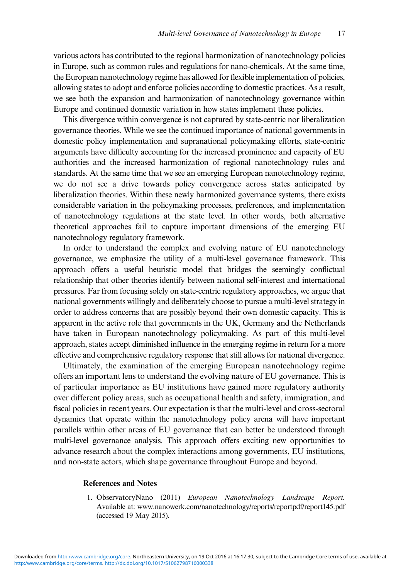<span id="page-16-0"></span>various actors has contributed to the regional harmonization of nanotechnology policies in Europe, such as common rules and regulations for nano-chemicals. At the same time, the European nanotechnology regime has allowed for flexible implementation of policies, allowing states to adopt and enforce policies according to domestic practices. As a result, we see both the expansion and harmonization of nanotechnology governance within Europe and continued domestic variation in how states implement these policies.

This divergence within convergence is not captured by state-centric nor liberalization governance theories. While we see the continued importance of national governments in domestic policy implementation and supranational policymaking efforts, state-centric arguments have difficulty accounting for the increased prominence and capacity of EU authorities and the increased harmonization of regional nanotechnology rules and standards. At the same time that we see an emerging European nanotechnology regime, we do not see a drive towards policy convergence across states anticipated by liberalization theories. Within these newly harmonized governance systems, there exists considerable variation in the policymaking processes, preferences, and implementation of nanotechnology regulations at the state level. In other words, both alternative theoretical approaches fail to capture important dimensions of the emerging EU nanotechnology regulatory framework.

In order to understand the complex and evolving nature of EU nanotechnology governance, we emphasize the utility of a multi-level governance framework. This approach offers a useful heuristic model that bridges the seemingly conflictual relationship that other theories identify between national self-interest and international pressures. Far from focusing solely on state-centric regulatory approaches, we argue that national governments willingly and deliberately choose to pursue a multi-level strategy in order to address concerns that are possibly beyond their own domestic capacity. This is apparent in the active role that governments in the UK, Germany and the Netherlands have taken in European nanotechnology policymaking. As part of this multi-level approach, states accept diminished influence in the emerging regime in return for a more effective and comprehensive regulatory response that still allows for national divergence.

Ultimately, the examination of the emerging European nanotechnology regime offers an important lens to understand the evolving nature of EU governance. This is of particular importance as EU institutions have gained more regulatory authority over different policy areas, such as occupational health and safety, immigration, and fiscal policies in recent years. Our expectation is that the multi-level and cross-sectoral dynamics that operate within the nanotechnology policy arena will have important parallels within other areas of EU governance that can better be understood through multi-level governance analysis. This approach offers exciting new opportunities to advance research about the complex interactions among governments, EU institutions, and non-state actors, which shape governance throughout Europe and beyond.

#### References and Notes

1. ObservatoryNano (2011) European Nanotechnology Landscape Report. Available at:<www.nanowerk.com/nanotechnology/reports/reportpdf/report145.pdf> (accessed 19 May 2015).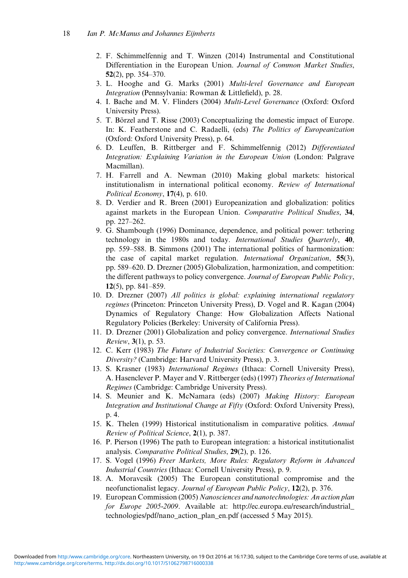- <span id="page-17-0"></span>2. F. Schimmelfennig and T. Winzen (2014) Instrumental and Constitutional Differentiation in the European Union. Journal of Common Market Studies, 52(2), pp. 354–370.
- 3. L. Hooghe and G. Marks (2001) Multi-level Governance and European Integration (Pennsylvania: Rowman & Littlefield), p. 28.
- 4. I. Bache and M. V. Flinders (2004) Multi-Level Governance (Oxford: Oxford University Press).
- 5. T. Börzel and T. Risse (2003) Conceptualizing the domestic impact of Europe. In: K. Featherstone and C. Radaelli, (eds) The Politics of Europeanization (Oxford: Oxford University Press), p. 64.
- 6. D. Leuffen, B. Rittberger and F. Schimmelfennig (2012) Differentiated Integration: Explaining Variation in the European Union (London: Palgrave Macmillan).
- 7. H. Farrell and A. Newman (2010) Making global markets: historical institutionalism in international political economy. Review of International Political Economy, 17(4), p. 610.
- 8. D. Verdier and R. Breen (2001) Europeanization and globalization: politics against markets in the European Union. Comparative Political Studies, 34, pp. 227–262.
- 9. G. Shambough (1996) Dominance, dependence, and political power: tethering technology in the 1980s and today. International Studies Quarterly, 40, pp. 559–588. B. Simmons (2001) The international politics of harmonization: the case of capital market regulation. International Organization, 55(3), pp. 589–620. D. Drezner (2005) Globalization, harmonization, and competition: the different pathways to policy convergence. Journal of European Public Policy, 12(5), pp. 841–859.
- 10. D. Drezner (2007) All politics is global: explaining international regulatory regimes (Princeton: Princeton University Press), D. Vogel and R. Kagan (2004) Dynamics of Regulatory Change: How Globalization Affects National Regulatory Policies (Berkeley: University of California Press).
- 11. D. Drezner (2001) Globalization and policy convergence. International Studies Review, 3(1), p. 53.
- 12. C. Kerr (1983) The Future of Industrial Societies: Convergence or Continuing Diversity? (Cambridge: Harvard University Press), p. 3.
- 13. S. Krasner (1983) International Regimes (Ithaca: Cornell University Press), A. Hasenclever P. Mayer and V. Rittberger (eds) (1997) Theories of International Regimes (Cambridge: Cambridge University Press).
- 14. S. Meunier and K. McNamara (eds) (2007) Making History: European Integration and Institutional Change at Fifty (Oxford: Oxford University Press), p. 4.
- 15. K. Thelen (1999) Historical institutionalism in comparative politics. Annual Review of Political Science, 2(1), p. 387.
- 16. P. Pierson (1996) The path to European integration: a historical institutionalist analysis. Comparative Political Studies, 29(2), p. 126.
- 17. S. Vogel (1996) Freer Markets, More Rules: Regulatory Reform in Advanced Industrial Countries (Ithaca: Cornell University Press), p. 9.
- 18. A. Moravcsik (2005) The European constitutional compromise and the neofunctionalist legacy. Journal of European Public Policy, 12(2), p. 376.
- 19. European Commission (2005) Nanosciences and nanotechnologies: An action plan for Europe 2005-2009. Available at: [http://ec.europa.eu/research/industrial\\_](http://ec.europa.eu/research/industrial_technologies/pdf/nano_action_plan_en.pdf) [technologies/pdf/nano\\_action\\_plan\\_en.pdf](http://ec.europa.eu/research/industrial_technologies/pdf/nano_action_plan_en.pdf) (accessed 5 May 2015).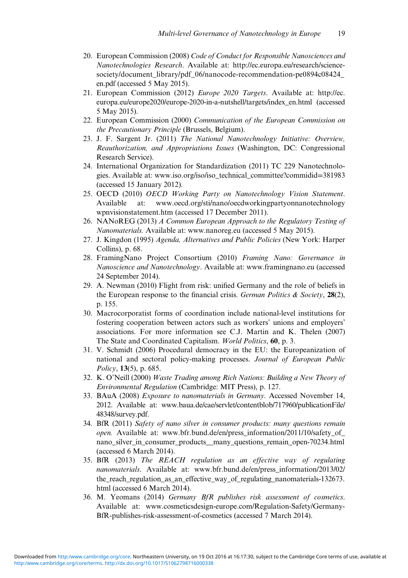- <span id="page-18-0"></span>20. European Commission (2008) Code of Conduct for Responsible Nanosciences and Nanotechnologies Research. Available at: [http://ec.europa.eu/research/science](http://ec.europa.eu/research/science-society/document_library/pdf_06/nanocode-recommendation-pe0894c08424_en.pdf)[society/document\\_library/pdf\\_06/nanocode-recommendation-pe0894c08424\\_](http://ec.europa.eu/research/science-society/document_library/pdf_06/nanocode-recommendation-pe0894c08424_en.pdf) [en.pdf](http://ec.europa.eu/research/science-society/document_library/pdf_06/nanocode-recommendation-pe0894c08424_en.pdf) (accessed 5 May 2015).
- 21. European Commission (2012) Europe 2020 Targets. Available at: [http://ec.](http://ec.europa.eu/europe2020/europe-2020-in-a-nutshell/targets/index_en.html) [europa.eu/europe2020/europe-2020-in-a-nutshell/targets/index\\_en.html](http://ec.europa.eu/europe2020/europe-2020-in-a-nutshell/targets/index_en.html) (accessed 5 May 2015).
- 22. European Commission (2000) Communication of the European Commission on the Precautionary Principle (Brussels, Belgium).
- 23. J. F. Sargent Jr. (2011) The National Nanotechnology Initiative: Overview, Reauthorization, and Appropriations Issues (Washington, DC: Congressional Research Service).
- 24. International Organization for Standardization (2011) TC 229 Nanotechnologies. Available at: [www.iso.org/iso/iso\\_technical\\_committee?commidid](www.iso.org/iso/iso_technical_committee?commidid=381983)=381983 (accessed 15 January 2012).
- 25. OECD (2010) OECD Working Party on Nanotechnology Vision Statement. Available at: [www.oecd.org/sti/nano/oecdworkingpartyonnanotechnology](www.oecd.org/sti/nano/oecdworkingpartyonnanotechnologywpnvisionstatement.htm) [wpnvisionstatement.htm](www.oecd.org/sti/nano/oecdworkingpartyonnanotechnologywpnvisionstatement.htm) (accessed 17 December 2011).
- 26. NANoREG (2013) A Common European Approach to the Regulatory Testing of Nanomaterials. Available at:<www.nanoreg.eu> (accessed 5 May 2015).
- 27. J. Kingdon (1995) Agenda, Alternatives and Public Policies (New York: Harper Collins), p. 68.
- 28. FramingNano Project Consortium (2010) Framing Nano: Governance in Nanoscience and Nanotechnology. Available at:<www.framingnano.eu> (accessed 24 September 2014).
- 29. A. Newman (2010) Flight from risk: unified Germany and the role of beliefs in the European response to the financial crisis. German Politics & Society, 28(2), p. 155.
- 30. Macrocorporatist forms of coordination include national-level institutions for fostering cooperation between actors such as workers' unions and employers' associations. For more information see C.J. Martin and K. Thelen (2007) The State and Coordinated Capitalism. World Politics, 60, p. 3.
- 31. V. Schmidt (2006) Procedural democracy in the EU: the Europeanization of national and sectoral policy-making processes. Journal of European Public Policy, 13(5), p. 685.
- 32. K. O'Neill (2000) Waste Trading among Rich Nations: Building a New Theory of Environmental Regulation (Cambridge: MIT Press), p. 127.
- 33. BAuA (2008) Exposure to nanomaterials in Germany. Accessed November 14, 2012. Available at: [www.baua.de/cae/servlet/contentblob/717960/publicationFile/](www.baua.de/cae/servlet/contentblob/717960/publicationFile/48348/survey.pdf) [48348/survey.pdf](www.baua.de/cae/servlet/contentblob/717960/publicationFile/48348/survey.pdf).
- 34. BfR (2011) Safety of nano silver in consumer products: many questions remain open. Available at: [www.bfr.bund.de/en/press\\_information/2011/10/safety\\_of\\_](www.bfr.bund.de/en/press_information/2011�/�10/safety_of_nano_silver_in_consumer_products__many_questions_remain_open-70234.html) nano\_silver\_in\_consumer\_products\_many\_questions\_remain\_open-70234.html (accessed 6 March 2014).
- 35. BfR (2013) The REACH regulation as an effective way of regulating nanomaterials. Available at: [www.bfr.bund.de/en/press\\_information/2013/02/](www.bfr.bund.de/en/press_information/2013�/�02/the_reach_regulation_as_an_effective_way_of_regulating_nanomaterials-132673.html) the reach regulation as an effective way of regulating nanomaterials-132673. [html](www.bfr.bund.de/en/press_information/2013�/�02/the_reach_regulation_as_an_effective_way_of_regulating_nanomaterials-132673.html) (accessed 6 March 2014).
- 36. M. Yeomans (2014) Germany BfR publishes risk assessment of cosmetics. Available at: [www.cosmeticsdesign-europe.com/Regulation-Safety/Germany-](www.cosmeticsdesign-europe.com/Regulation-Safety/Germany-BfR-publishes-risk-assessment-of-cosmetics)[BfR-publishes-risk-assessment-of-cosmetics](www.cosmeticsdesign-europe.com/Regulation-Safety/Germany-BfR-publishes-risk-assessment-of-cosmetics) (accessed 7 March 2014).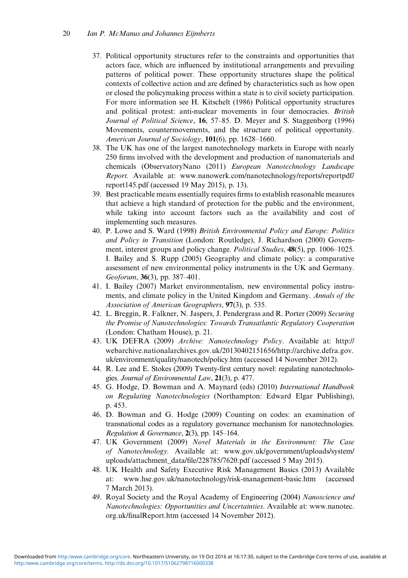- <span id="page-19-0"></span>37. Political opportunity structures refer to the constraints and opportunities that actors face, which are influenced by institutional arrangements and prevailing patterns of political power. These opportunity structures shape the political contexts of collective action and are defined by characteristics such as how open or closed the policymaking process within a state is to civil society participation. For more information see H. Kitschelt (1986) Political opportunity structures and political protest: anti-nuclear movements in four democracies. British Journal of Political Science, 16, 57–85. D. Meyer and S. Staggenborg (1996) Movements, countermovements, and the structure of political opportunity. American Journal of Sociology,  $101(6)$ , pp. 1628–1660.
- 38. The UK has one of the largest nanotechnology markets in Europe with nearly 250 firms involved with the development and production of nanomaterials and chemicals (ObservatoryNano (2011) European Nanotechnology Landscape Report. Available at: [www.nanowerk.com/nanotechnology/reports/reportpdf/](www.nanowerk.com/nanotechnology/reports/reportpdf/report145.pdf) [report145.pdf](www.nanowerk.com/nanotechnology/reports/reportpdf/report145.pdf) (accessed 19 May 2015), p. 13).
- 39. Best practicable means essentially requires firms to establish reasonable measures that achieve a high standard of protection for the public and the environment, while taking into account factors such as the availability and cost of implementing such measures.
- 40. P. Lowe and S. Ward (1998) British Environmental Policy and Europe: Politics and Policy in Transition (London: Routledge), J. Richardson (2000) Government, interest groups and policy change. *Political Studies*, **48**(5), pp. 1006–1025. I. Bailey and S. Rupp (2005) Geography and climate policy: a comparative assessment of new environmental policy instruments in the UK and Germany. Geoforum, 36(3), pp. 387–401.
- 41. I. Bailey (2007) Market environmentalism, new environmental policy instruments, and climate policy in the United Kingdom and Germany. Annals of the Association of American Geographers, 97(3), p. 535.
- 42. L. Breggin, R. Falkner, N. Jaspers, J. Pendergrass and R. Porter (2009) Securing the Promise of Nanotechnologies: Towards Transatlantic Regulatory Cooperation (London: Chatham House), p. 21.
- 43. UK DEFRA (2009) Archive: Nanotechnology Policy. Available at: [http://](http://webarchive.nationalarchives.gov.uk/20130402151656/http://archive.defra.gov.uk/environment/quality/nanotech/policy.htm) [webarchive.nationalarchives.gov.uk/20130402151656/http://archive.defra.gov.](http://webarchive.nationalarchives.gov.uk/20130402151656/http://archive.defra.gov.uk/environment/quality/nanotech/policy.htm) [uk/environment/quality/nanotech/policy.htm](http://webarchive.nationalarchives.gov.uk/20130402151656/http://archive.defra.gov.uk/environment/quality/nanotech/policy.htm) (accessed 14 November 2012).
- 44. R. Lee and E. Stokes (2009) Twenty-first century novel: regulating nanotechnologies. Journal of Environmental Law, 21(3), p. 477.
- 45. G. Hodge, D. Bowman and A. Maynard (eds) (2010) International Handbook on Regulating Nanotechnologies (Northampton: Edward Elgar Publishing), p. 453.
- 46. D. Bowman and G. Hodge (2009) Counting on codes: an examination of transnational codes as a regulatory governance mechanism for nanotechnologies. Regulation & Governance,  $2(3)$ , pp. 145-164.
- 47. UK Government (2009) Novel Materials in the Environment: The Case of Nanotechnology. Available at: [www.gov.uk/government/uploads/system/](www.gov.uk/government/uploads/system/uploads/attachment_data/file/228785�/�7620.pdf) [uploads/attachment\\_data/](www.gov.uk/government/uploads/system/uploads/attachment_data/file/228785�/�7620.pdf)file/228785/7620.pdf (accessed 5 May 2015).
- 48. UK Health and Safety Executive Risk Management Basics (2013) Available at:<www.hse.gov.uk/nanotechnology/risk-management-basic.htm> (accessed 7 March 2013).
- 49. Royal Society and the Royal Academy of Engineering (2004) Nanoscience and Nanotechnologies: Opportunities and Uncertainties. Available at: [www.nanotec.](www.nanotec.org.uk/finalReport.htm) org.uk/fi[nalReport.htm](www.nanotec.org.uk/finalReport.htm) (accessed 14 November 2012).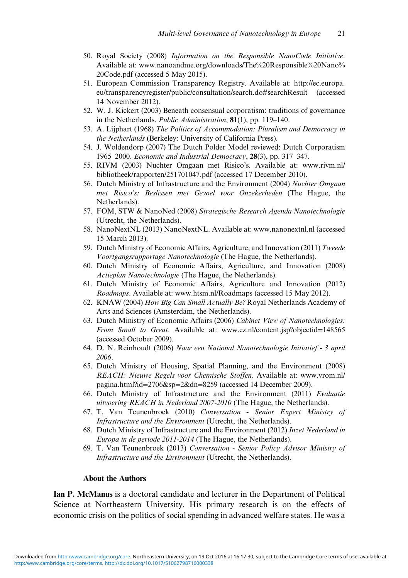- <span id="page-20-0"></span>50. Royal Society (2008) Information on the Responsible NanoCode Initiative. Available at: [www.nanoandme.org/downloads/The%20Responsible%20Nano%](www.nanoandme.org/downloads/The%20Responsible%20Nano%20Code.pdf) [20Code.pdf](www.nanoandme.org/downloads/The%20Responsible%20Nano%20Code.pdf) (accessed 5 May 2015).
- 51. European Commission Transparency Registry. Available at: [http://ec.europa.](http://ec.europa.eu/transparencyregister/public/consultation/search.do#searchResult) [eu/transparencyregister/public/consultation/search.do#searchResult](http://ec.europa.eu/transparencyregister/public/consultation/search.do#searchResult) (accessed 14 November 2012).
- 52. W. J. Kickert (2003) Beneath consensual corporatism: traditions of governance in the Netherlands. *Public Administration*, 81(1), pp. 119-140.
- 53. A. Lijphart (1968) The Politics of Accommodation: Pluralism and Democracy in the Netherlands (Berkeley: University of California Press).
- 54. J. Woldendorp (2007) The Dutch Polder Model reviewed: Dutch Corporatism 1965–2000. Economic and Industrial Democracy,  $28(3)$ , pp. 317–347.
- 55. RIVM (2003) Nuchter Omgaan met Risico's. Available at: [www.rivm.nl/](www.rivm.nl/bibliotheek/rapporten/251701047.pdf) [bibliotheek/rapporten/251701047.pdf](www.rivm.nl/bibliotheek/rapporten/251701047.pdf) (accessed 17 December 2010).
- 56. Dutch Ministry of Infrastructure and the Environment (2004) Nuchter Omgaan met Risico's: Beslissen met Gevoel voor Onzekerheden (The Hague, the Netherlands).
- 57. FOM, STW & NanoNed (2008) Strategische Research Agenda Nanotechnologie (Utrecht, the Netherlands).
- 58. NanoNextNL (2013) NanoNextNL. Available at:<www.nanonextnl.nl> (accessed 15 March 2013).
- 59. Dutch Ministry of Economic Affairs, Agriculture, and Innovation (2011) Tweede Voortgangsrapportage Nanotechnologie (The Hague, the Netherlands).
- 60. Dutch Ministry of Economic Affairs, Agriculture, and Innovation (2008) Actieplan Nanotechnologie (The Hague, the Netherlands).
- 61. Dutch Ministry of Economic Affairs, Agriculture and Innovation (2012) Roadmaps. Available at:<www.htsm.nl/Roadmaps> (accessed 15 May 2012).
- 62. KNAW (2004) How Big Can Small Actually Be? Royal Netherlands Academy of Arts and Sciences (Amsterdam, the Netherlands).
- 63. Dutch Ministry of Economic Affairs (2006) Cabinet View of Nanotechnologies: From Small to Great. Available at: [www.ez.nl/content.jsp?objectid](www.ez.nl/content.jsp?objectid=148565)=148565 (accessed October 2009).
- 64. D. N. Reinhoudt (2006) Naar een National Nanotechnologie Initiatief 3 april 2006.
- 65. Dutch Ministry of Housing, Spatial Planning, and the Environment (2008) REACH: Nieuwe Regels voor Chemische Stoffen. Available at: [www.vrom.nl/](www.vrom.nl/pagina.html?id=2706&sp=2&dn=8259) [pagina.html?id](www.vrom.nl/pagina.html?id=2706&sp=2&dn=8259)=2706&sp=2&dn=8259 (accessed 14 December 2009).
- 66. Dutch Ministry of Infrastructure and the Environment (2011) Evaluatie uitvoering REACH in Nederland 2007-2010 (The Hague, the Netherlands).
- 67. T. Van Teunenbroek (2010) Conversation Senior Expert Ministry of Infrastructure and the Environment (Utrecht, the Netherlands).
- 68. Dutch Ministry of Infrastructure and the Environment (2012) Inzet Nederland in Europa in de periode 2011-2014 (The Hague, the Netherlands).
- 69. T. Van Teunenbroek (2013) Conversation Senior Policy Advisor Ministry of Infrastructure and the Environment (Utrecht, the Netherlands).

#### About the Authors

Ian P. McManus is a doctoral candidate and lecturer in the Department of Political Science at Northeastern University. His primary research is on the effects of economic crisis on the politics of social spending in advanced welfare states. He was a